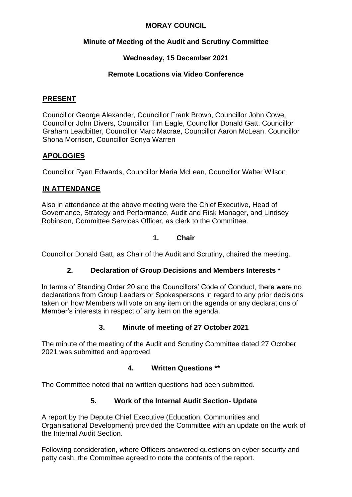## **MORAY COUNCIL**

# **Minute of Meeting of the Audit and Scrutiny Committee**

# **Wednesday, 15 December 2021**

# **Remote Locations via Video Conference**

#### **PRESENT**

Councillor George Alexander, Councillor Frank Brown, Councillor John Cowe, Councillor John Divers, Councillor Tim Eagle, Councillor Donald Gatt, Councillor Graham Leadbitter, Councillor Marc Macrae, Councillor Aaron McLean, Councillor Shona Morrison, Councillor Sonya Warren

## **APOLOGIES**

Councillor Ryan Edwards, Councillor Maria McLean, Councillor Walter Wilson

# **IN ATTENDANCE**

Also in attendance at the above meeting were the Chief Executive, Head of Governance, Strategy and Performance, Audit and Risk Manager, and Lindsey Robinson, Committee Services Officer, as clerk to the Committee.

## **1. Chair**

Councillor Donald Gatt, as Chair of the Audit and Scrutiny, chaired the meeting.

## **2. Declaration of Group Decisions and Members Interests \***

In terms of Standing Order 20 and the Councillors' Code of Conduct, there were no declarations from Group Leaders or Spokespersons in regard to any prior decisions taken on how Members will vote on any item on the agenda or any declarations of Member's interests in respect of any item on the agenda.

## **3. Minute of meeting of 27 October 2021**

The minute of the meeting of the Audit and Scrutiny Committee dated 27 October 2021 was submitted and approved.

## **4. Written Questions \*\***

The Committee noted that no written questions had been submitted.

## **5. Work of the Internal Audit Section- Update**

A report by the Depute Chief Executive (Education, Communities and Organisational Development) provided the Committee with an update on the work of the Internal Audit Section.

Following consideration, where Officers answered questions on cyber security and petty cash, the Committee agreed to note the contents of the report.